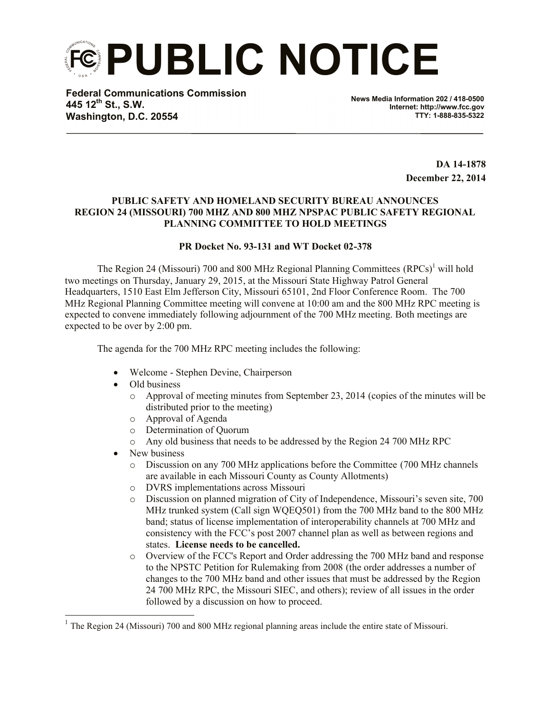**PUBLIC NOTICE**

**Federal Communications Commission 445 12th St., S.W. Washington, D.C. 20554**

**News Media Information 202 / 418-0500 Internet: http://www.fcc.gov TTY: 1-888-835-5322**

> **DA 14-1878 December 22, 2014**

## **PUBLIC SAFETY AND HOMELAND SECURITY BUREAU ANNOUNCES REGION 24 (MISSOURI) 700 MHZ AND 800 MHZ NPSPAC PUBLIC SAFETY REGIONAL PLANNING COMMITTEE TO HOLD MEETINGS**

## **PR Docket No. 93-131 and WT Docket 02-378**

The Region 24 (Missouri) 700 and 800 MHz Regional Planning Committees  $(RPCs)^{1}$  will hold two meetings on Thursday, January 29, 2015, at the Missouri State Highway Patrol General Headquarters, 1510 East Elm Jefferson City, Missouri 65101, 2nd Floor Conference Room. The 700 MHz Regional Planning Committee meeting will convene at 10:00 am and the 800 MHz RPC meeting is expected to convene immediately following adjournment of the 700 MHz meeting. Both meetings are expected to be over by 2:00 pm.

The agenda for the 700 MHz RPC meeting includes the following:

- Welcome Stephen Devine, Chairperson
- Old business
	- o Approval of meeting minutes from September 23, 2014 (copies of the minutes will be distributed prior to the meeting)
	- o Approval of Agenda
	- o Determination of Quorum
	- o Any old business that needs to be addressed by the Region 24 700 MHz RPC
- New business

l

- o Discussion on any 700 MHz applications before the Committee (700 MHz channels are available in each Missouri County as County Allotments)
- o DVRS implementations across Missouri
- o Discussion on planned migration of City of Independence, Missouri's seven site, 700 MHz trunked system (Call sign WQEQ501) from the 700 MHz band to the 800 MHz band; status of license implementation of interoperability channels at 700 MHz and consistency with the FCC's post 2007 channel plan as well as between regions and states. **License needs to be cancelled.**
- o Overview of the FCC's Report and Order addressing the 700 MHz band and response to the NPSTC Petition for Rulemaking from 2008 (the order addresses a number of changes to the 700 MHz band and other issues that must be addressed by the Region 24 700 MHz RPC, the Missouri SIEC, and others); review of all issues in the order followed by a discussion on how to proceed.

<sup>&</sup>lt;sup>1</sup> The Region 24 (Missouri) 700 and 800 MHz regional planning areas include the entire state of Missouri.